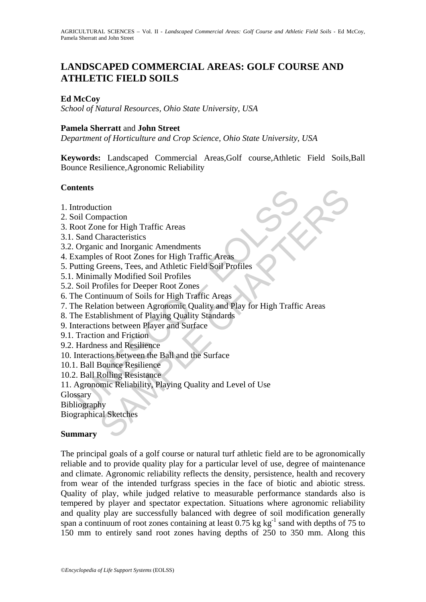# **LANDSCAPED COMMERCIAL AREAS: GOLF COURSE AND ATHLETIC FIELD SOILS**

## **Ed McCoy**

*School of Natural Resources, Ohio State University, USA*

### **Pamela Sherratt** and **John Street**

*Department of Horticulture and Crop Science, Ohio State University, USA* 

**Keywords:** Landscaped Commercial Areas,Golf course,Athletic Field Soils,Ball Bounce Resilience,Agronomic Reliability

### **Contents**

- 1. Introduction
- 2. Soil Compaction
- 3. Root Zone for High Traffic Areas
- 3.1. Sand Characteristics
- 3.2. Organic and Inorganic Amendments
- 4. Examples of Root Zones for High Traffic Areas
- 5. Putting Greens, Tees, and Athletic Field Soil Profiles
- 5.1. Minimally Modified Soil Profiles
- 5.2. Soil Profiles for Deeper Root Zones
- 6. The Continuum of Soils for High Traffic Areas
- ntroduction<br>
ori Compaction<br>
ori Compaction<br>
ori Compaction<br>
Sand Characteristics<br>
Sand Characteristics<br>
Xamples of Root Zones for High Traffic Areas<br>
xamples of Root Zones for High Traffic Areas<br>
utting Greens, Tees, and tion<br>mead for High Traffic Areas<br>tharacteristics<br>ic and Inorganic Amendments<br>So of Root Zones for High Traffic Areas<br>Sample, Many Addited Soil Profiles<br>ally Modified Soil Profiles<br>of The Soils for High Traffic Areas<br>thinum 7. The Relation between Agronomic Quality and Play for High Traffic Areas
- 8. The Establishment of Playing Quality Standards
- 9. Interactions between Player and Surface
- 9.1. Traction and Friction
- 9.2. Hardness and Resilience
- 10. Interactions between the Ball and the Surface
- 10.1. Ball Bounce Resilience
- 10.2. Ball Rolling Resistance
- 11. Agronomic Reliability, Playing Quality and Level of Use

Glossary

Bibliography

Biographical Sketches

### **Summary**

The principal goals of a golf course or natural turf athletic field are to be agronomically reliable and to provide quality play for a particular level of use, degree of maintenance and climate. Agronomic reliability reflects the density, persistence, health and recovery from wear of the intended turfgrass species in the face of biotic and abiotic stress. Quality of play, while judged relative to measurable performance standards also is tempered by player and spectator expectation. Situations where agronomic reliability and quality play are successfully balanced with degree of soil modification generally span a continuum of root zones containing at least  $0.75 \text{ kg kg}^{-1}$  sand with depths of 75 to 150 mm to entirely sand root zones having depths of 250 to 350 mm. Along this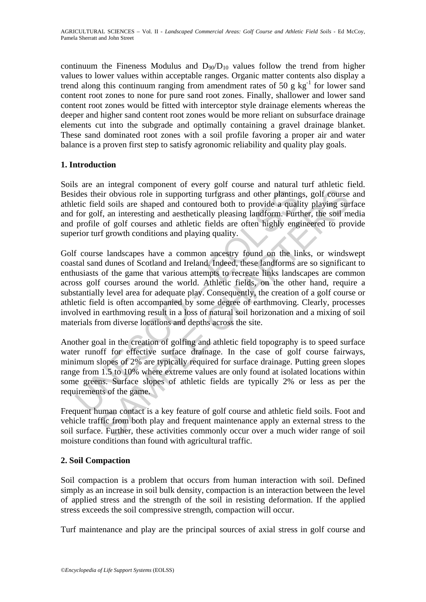continuum the Fineness Modulus and  $D_{90}/D_{10}$  values follow the trend from higher values to lower values within acceptable ranges. Organic matter contents also display a trend along this continuum ranging from amendment rates of 50 g  $kg^{-1}$  for lower sand content root zones to none for pure sand root zones. Finally, shallower and lower sand content root zones would be fitted with interceptor style drainage elements whereas the deeper and higher sand content root zones would be more reliant on subsurface drainage elements cut into the subgrade and optimally containing a gravel drainage blanket. These sand dominated root zones with a soil profile favoring a proper air and water balance is a proven first step to satisfy agronomic reliability and quality play goals.

## **1. Introduction**

Soils are an integral component of every golf course and natural turf athletic field. Besides their obvious role in supporting turfgrass and other plantings, golf course and athletic field soils are shaped and contoured both to provide a quality playing surface and for golf, an interesting and aesthetically pleasing landform. Further, the soil media and profile of golf courses and athletic fields are often highly engineered to provide superior turf growth conditions and playing quality.

ides their obvious role in supporting turfgrass and other planting<br>tic field soils are shaped and contoured both to provide a quali<br>for golf, an interesting and aesthetically pleasing landform. Furt<br>profile of golf courses ier obvious role in supporting turfgrass and other plantings, golf course<br>ier obvious role in supporting turfgrass and other plantings, golf course<br>dd soils are shaped and contoured both to provide a quality playing sur<br>ff Golf course landscapes have a common ancestry found on the links, or windswept coastal sand dunes of Scotland and Ireland. Indeed, these landforms are so significant to enthusiasts of the game that various attempts to recreate links landscapes are common across golf courses around the world. Athletic fields, on the other hand, require a substantially level area for adequate play. Consequently, the creation of a golf course or athletic field is often accompanied by some degree of earthmoving. Clearly, processes involved in earthmoving result in a loss of natural soil horizonation and a mixing of soil materials from diverse locations and depths across the site.

Another goal in the creation of golfing and athletic field topography is to speed surface water runoff for effective surface drainage. In the case of golf course fairways, minimum slopes of 2% are typically required for surface drainage. Putting green slopes range from 1.5 to 10% where extreme values are only found at isolated locations within some greens. Surface slopes of athletic fields are typically 2% or less as per the requirements of the game.

Frequent human contact is a key feature of golf course and athletic field soils. Foot and vehicle traffic from both play and frequent maintenance apply an external stress to the soil surface. Further, these activities commonly occur over a much wider range of soil moisture conditions than found with agricultural traffic.

## **2. Soil Compaction**

Soil compaction is a problem that occurs from human interaction with soil. Defined simply as an increase in soil bulk density, compaction is an interaction between the level of applied stress and the strength of the soil in resisting deformation. If the applied stress exceeds the soil compressive strength, compaction will occur.

Turf maintenance and play are the principal sources of axial stress in golf course and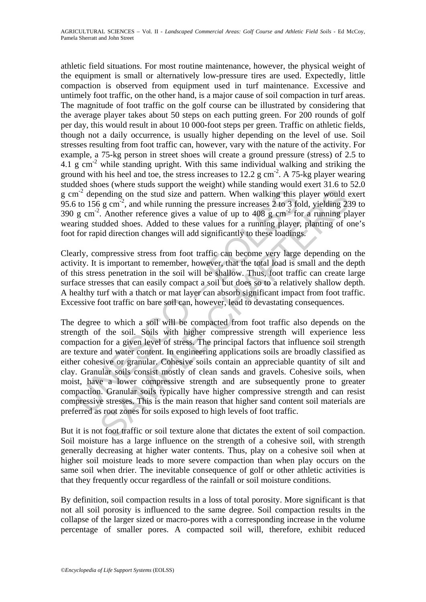athletic field situations. For most routine maintenance, however, the physical weight of the equipment is small or alternatively low-pressure tires are used. Expectedly, little compaction is observed from equipment used in turf maintenance. Excessive and untimely foot traffic, on the other hand, is a major cause of soil compaction in turf areas. The magnitude of foot traffic on the golf course can be illustrated by considering that the average player takes about 50 steps on each putting green. For 200 rounds of golf per day, this would result in about 10 000-foot steps per green. Traffic on athletic fields, though not a daily occurrence, is usually higher depending on the level of use. Soil stresses resulting from foot traffic can, however, vary with the nature of the activity. For example, a 75-kg person in street shoes will create a ground pressure (stress) of 2.5 to 4.1 g cm<sup>-2</sup> while standing upright. With this same individual walking and striking the ground with his heel and toe, the stress increases to 12.2 g cm<sup>-2</sup>. A 75-kg player wearing studded shoes (where studs support the weight) while standing would exert 31.6 to 52.0 g cm<sup>-2</sup> depending on the stud size and pattern. When walking this player would exert 95.6 to 156 g cm<sup>-2</sup>, and while running the pressure increases 2 to 3 fold, yielding 239 to 390 g cm<sup>-2</sup>. Another reference gives a value of up to 408 g cm<sup>-2</sup> for a running player wearing studded shoes. Added to these values for a running player, planting of one's foot for rapid direction changes will add significantly to these loadings.

Clearly, compressive stress from foot traffic can become very large depending on the activity. It is important to remember, however, that the total load is small and the depth of this stress penetration in the soil will be shallow. Thus, foot traffic can create large surface stresses that can easily compact a soil but does so to a relatively shallow depth. A healthy turf with a thatch or mat layer can absorb significant impact from foot traffic. Excessive foot traffic on bare soil can, however, lead to devastating consequences.

 $m<sup>2</sup>$  depending on the stud size and pattern. When walking this j to 156 g cm<sup>-2</sup>, and while running the pressure increases 2 to 3 for g cm<sup>-2</sup>. Another reference gives a value of up to 408 g cm<sup>-2</sup> for g studded sho ending on the stud size and pattern. When walking this player would ending on the stud size and pattern. When walking this player would e g cm<sup>-2</sup>, and while running the pressure increases 2 to 3 fold, yielding 23. Anothe The degree to which a soil will be compacted from foot traffic also depends on the strength of the soil. Soils with higher compressive strength will experience less compaction for a given level of stress. The principal factors that influence soil strength are texture and water content. In engineering applications soils are broadly classified as either cohesive or granular. Cohesive soils contain an appreciable quantity of silt and clay. Granular soils consist mostly of clean sands and gravels. Cohesive soils, when moist, have a lower compressive strength and are subsequently prone to greater compaction. Granular soils typically have higher compressive strength and can resist compressive stresses. This is the main reason that higher sand content soil materials are preferred as root zones for soils exposed to high levels of foot traffic.

But it is not foot traffic or soil texture alone that dictates the extent of soil compaction. Soil moisture has a large influence on the strength of a cohesive soil, with strength generally decreasing at higher water contents. Thus, play on a cohesive soil when at higher soil moisture leads to more severe compaction than when play occurs on the same soil when drier. The inevitable consequence of golf or other athletic activities is that they frequently occur regardless of the rainfall or soil moisture conditions.

By definition, soil compaction results in a loss of total porosity. More significant is that not all soil porosity is influenced to the same degree. Soil compaction results in the collapse of the larger sized or macro-pores with a corresponding increase in the volume percentage of smaller pores. A compacted soil will, therefore, exhibit reduced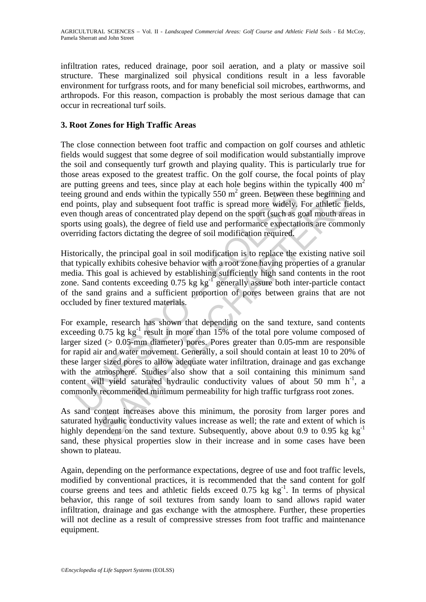infiltration rates, reduced drainage, poor soil aeration, and a platy or massive soil structure. These marginalized soil physical conditions result in a less favorable environment for turfgrass roots, and for many beneficial soil microbes, earthworms, and arthropods. For this reason, compaction is probably the most serious damage that can occur in recreational turf soils.

## **3. Root Zones for High Traffic Areas**

The close connection between foot traffic and compaction on golf courses and athletic fields would suggest that some degree of soil modification would substantially improve the soil and consequently turf growth and playing quality. This is particularly true for those areas exposed to the greatest traffic. On the golf course, the focal points of play are putting greens and tees, since play at each hole begins within the typically 400  $m<sup>2</sup>$ teeing ground and ends within the typically  $550 \text{ m}^2$  green. Between these beginning and end points, play and subsequent foot traffic is spread more widely. For athletic fields, even though areas of concentrated play depend on the sport (such as goal mouth areas in sports using goals), the degree of field use and performance expectations are commonly overriding factors dictating the degree of soil modification required.

Historically, the principal goal in soil modification is to replace the existing native soil that typically exhibits cohesive behavior with a root zone having properties of a granular media. This goal is achieved by establishing sufficiently high sand contents in the root zone. Sand contents exceeding  $0.75$  kg kg<sup>-1</sup> generally assure both inter-particle contact of the sand grains and a sufficient proportion of pores between grains that are not occluded by finer textured materials.

ing ground and ends within the typically 550 m<sup>2</sup> green. Between the points, play and subsequent foot traffic is spread more widely, though areas of concentrated play depend on the sport (such as g ts using goals), the de and and ends within the typically 550 m<sup>2</sup> green. Between these beginning<br>play and subsequent foot traffic is spread more widely, For athletic fig<br>play and subsequent foot traffic is spread more widely, For athletic fig<br>p For example, research has shown that depending on the sand texture, sand contents exceeding  $0.75 \text{ kg kg}^{-1}$  result in more than 15% of the total pore volume composed of larger sized ( $> 0.05$ -mm diameter) pores. Pores greater than 0.05-mm are responsible for rapid air and water movement. Generally, a soil should contain at least 10 to 20% of these larger sized pores to allow adequate water infiltration, drainage and gas exchange with the atmosphere. Studies also show that a soil containing this minimum sand content will yield saturated hydraulic conductivity values of about 50 mm  $h^{-1}$ , a commonly recommended minimum permeability for high traffic turfgrass root zones.

As sand content increases above this minimum, the porosity from larger pores and saturated hydraulic conductivity values increase as well; the rate and extent of which is highly dependent on the sand texture. Subsequently, above about 0.9 to 0.95 kg  $kg^{-1}$ sand, these physical properties slow in their increase and in some cases have been shown to plateau.

Again, depending on the performance expectations, degree of use and foot traffic levels, modified by conventional practices, it is recommended that the sand content for golf course greens and tees and athletic fields exceed  $0.75 \text{ kg kg}^{-1}$ . In terms of physical behavior, this range of soil textures from sandy loam to sand allows rapid water infiltration, drainage and gas exchange with the atmosphere. Further, these properties will not decline as a result of compressive stresses from foot traffic and maintenance equipment.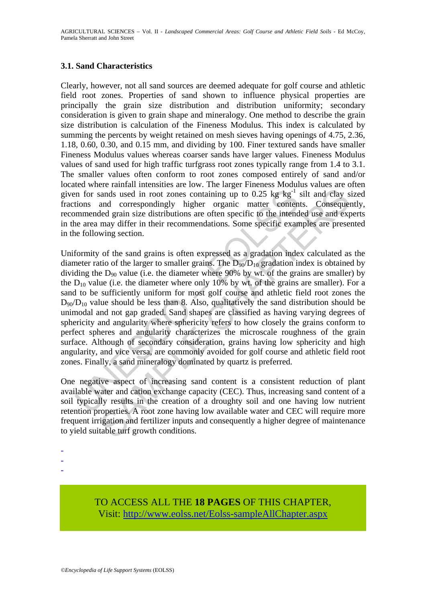### **3.1. Sand Characteristics**

Clearly, however, not all sand sources are deemed adequate for golf course and athletic field root zones. Properties of sand shown to influence physical properties are principally the grain size distribution and distribution uniformity; secondary consideration is given to grain shape and mineralogy. One method to describe the grain size distribution is calculation of the Fineness Modulus. This index is calculated by summing the percents by weight retained on mesh sieves having openings of 4.75, 2.36, 1.18, 0.60, 0.30, and 0.15 mm, and dividing by 100. Finer textured sands have smaller Fineness Modulus values whereas coarser sands have larger values. Fineness Modulus values of sand used for high traffic turfgrass root zones typically range from 1.4 to 3.1. The smaller values often conform to root zones composed entirely of sand and/or located where rainfall intensities are low. The larger Fineness Modulus values are often given for sands used in root zones containing up to 0.25 kg  $kg^{-1}$  silt and clay sized fractions and correspondingly higher organic matter contents. Consequently, recommended grain size distributions are often specific to the intended use and experts in the area may differ in their recommendations. Some specific examples are presented in the following section.

in for sands used in root zones containing up to 0.25 kg kg<sup>-1</sup><br>tions and correspondingly higher organic matter conten<br>mmended grain size distributions are often specific to the intend<br>e area may differ in their recommend stands used in root zones containing up to 0.25 kg kg<sup>-1</sup> silt and clay s<br>ands used in root zones containing up to 0.25 kg kg<sup>-1</sup> silt and clay s<br>and correspondingly higher organic matter contents. Conseque<br>ded grain size Uniformity of the sand grains is often expressed as a gradation index calculated as the diameter ratio of the larger to smaller grains. The  $D_{90}/D_{10}$  gradation index is obtained by dividing the  $D_{90}$  value (i.e. the diameter where 90% by wt. of the grains are smaller) by the  $D_{10}$  value (i.e. the diameter where only 10% by wt. of the grains are smaller). For a sand to be sufficiently uniform for most golf course and athletic field root zones the  $D_{90}/D_{10}$  value should be less than 8. Also, qualitatively the sand distribution should be unimodal and not gap graded. Sand shapes are classified as having varying degrees of sphericity and angularity where sphericity refers to how closely the grains conform to perfect spheres and angularity characterizes the microscale roughness of the grain surface. Although of secondary consideration, grains having low sphericity and high angularity, and vice versa, are commonly avoided for golf course and athletic field root zones. Finally, a sand mineralogy dominated by quartz is preferred.

One negative aspect of increasing sand content is a consistent reduction of plant available water and cation exchange capacity (CEC). Thus, increasing sand content of a soil typically results in the creation of a droughty soil and one having low nutrient retention properties. A root zone having low available water and CEC will require more frequent irrigation and fertilizer inputs and consequently a higher degree of maintenance to yield suitable turf growth conditions.

- -
- -
- -

TO ACCESS ALL THE **18 PAGES** OF THIS CHAPTER, Visit[: http://www.eolss.net/Eolss-sampleAllChapter.aspx](https://www.eolss.net/ebooklib/sc_cart.aspx?File=E5-24-11-05)